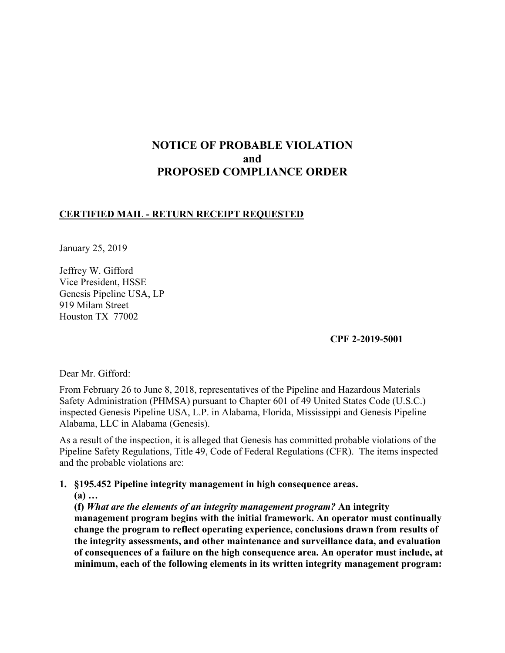# **NOTICE OF PROBABLE VIOLATION and PROPOSED COMPLIANCE ORDER**

### **CERTIFIED MAIL - RETURN RECEIPT REQUESTED**

January 25, 2019

Jeffrey W. Gifford Vice President, HSSE Genesis Pipeline USA, LP 919 Milam Street Houston TX 77002

**CPF 2-2019-5001**

Dear Mr. Gifford:

From February 26 to June 8, 2018, representatives of the Pipeline and Hazardous Materials Safety Administration (PHMSA) pursuant to Chapter 601 of 49 United States Code (U.S.C.) inspected Genesis Pipeline USA, L.P. in Alabama, Florida, Mississippi and Genesis Pipeline Alabama, LLC in Alabama (Genesis).

As a result of the inspection, it is alleged that Genesis has committed probable violations of the Pipeline Safety Regulations, Title 49, Code of Federal Regulations (CFR). The items inspected and the probable violations are:

#### **1. §195.452 Pipeline integrity management in high consequence areas.**

**(a) …**

**(f)** *What are the elements of an integrity management program?* **An integrity** 

**management program begins with the initial framework. An operator must continually change the program to reflect operating experience, conclusions drawn from results of the integrity assessments, and other maintenance and surveillance data, and evaluation of consequences of a failure on the high consequence area. An operator must include, at minimum, each of the following elements in its written integrity management program:**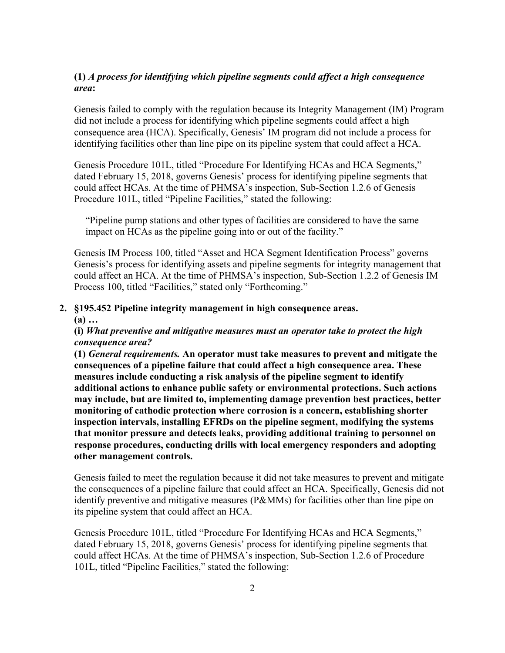### **(1)** *A process for identifying which pipeline segments could affect a high consequence area***:**

Genesis failed to comply with the regulation because its Integrity Management (IM) Program did not include a process for identifying which pipeline segments could affect a high consequence area (HCA). Specifically, Genesis' IM program did not include a process for identifying facilities other than line pipe on its pipeline system that could affect a HCA.

Genesis Procedure 101L, titled "Procedure For Identifying HCAs and HCA Segments," dated February 15, 2018, governs Genesis' process for identifying pipeline segments that could affect HCAs. At the time of PHMSA's inspection, Sub-Section 1.2.6 of Genesis Procedure 101L, titled "Pipeline Facilities," stated the following:

"Pipeline pump stations and other types of facilities are considered to have the same impact on HCAs as the pipeline going into or out of the facility."

Genesis IM Process 100, titled "Asset and HCA Segment Identification Process" governs Genesis's process for identifying assets and pipeline segments for integrity management that could affect an HCA. At the time of PHMSA's inspection, Sub-Section 1.2.2 of Genesis IM Process 100, titled "Facilities," stated only "Forthcoming."

#### **2. §195.452 Pipeline integrity management in high consequence areas.**

**(a) …**

#### **(i)** *What preventive and mitigative measures must an operator take to protect the high consequence area?*

**(1)** *General requirements.* **An operator must take measures to prevent and mitigate the consequences of a pipeline failure that could affect a high consequence area. These measures include conducting a risk analysis of the pipeline segment to identify additional actions to enhance public safety or environmental protections. Such actions may include, but are limited to, implementing damage prevention best practices, better monitoring of cathodic protection where corrosion is a concern, establishing shorter inspection intervals, installing EFRDs on the pipeline segment, modifying the systems that monitor pressure and detects leaks, providing additional training to personnel on response procedures, conducting drills with local emergency responders and adopting other management controls.**

Genesis failed to meet the regulation because it did not take measures to prevent and mitigate the consequences of a pipeline failure that could affect an HCA. Specifically, Genesis did not identify preventive and mitigative measures (P&MMs) for facilities other than line pipe on its pipeline system that could affect an HCA.

Genesis Procedure 101L, titled "Procedure For Identifying HCAs and HCA Segments," dated February 15, 2018, governs Genesis' process for identifying pipeline segments that could affect HCAs. At the time of PHMSA's inspection, Sub-Section 1.2.6 of Procedure 101L, titled "Pipeline Facilities," stated the following: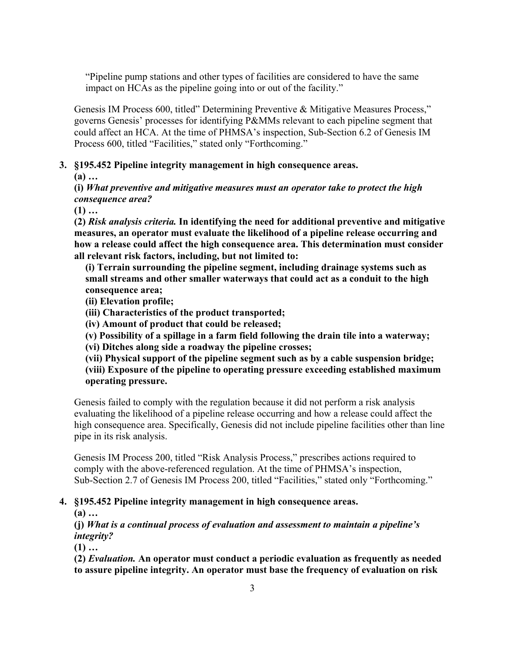"Pipeline pump stations and other types of facilities are considered to have the same impact on HCAs as the pipeline going into or out of the facility."

Genesis IM Process 600, titled" Determining Preventive & Mitigative Measures Process," governs Genesis' processes for identifying P&MMs relevant to each pipeline segment that could affect an HCA. At the time of PHMSA's inspection, Sub-Section 6.2 of Genesis IM Process 600, titled "Facilities," stated only "Forthcoming."

### **3. §195.452 Pipeline integrity management in high consequence areas.**

**(a) …** 

### **(i)** *What preventive and mitigative measures must an operator take to protect the high consequence area?*

**(1) …**

**(2)** *Risk analysis criteria.* **In identifying the need for additional preventive and mitigative measures, an operator must evaluate the likelihood of a pipeline release occurring and how a release could affect the high consequence area. This determination must consider all relevant risk factors, including, but not limited to:** 

**(i) Terrain surrounding the pipeline segment, including drainage systems such as small streams and other smaller waterways that could act as a conduit to the high consequence area;** 

**(ii) Elevation profile;** 

**(iii) Characteristics of the product transported;**

**(iv) Amount of product that could be released;** 

**(v) Possibility of a spillage in a farm field following the drain tile into a waterway;** 

**(vi) Ditches along side a roadway the pipeline crosses;** 

**(vii) Physical support of the pipeline segment such as by a cable suspension bridge; (viii) Exposure of the pipeline to operating pressure exceeding established maximum operating pressure.**

Genesis failed to comply with the regulation because it did not perform a risk analysis evaluating the likelihood of a pipeline release occurring and how a release could affect the high consequence area. Specifically, Genesis did not include pipeline facilities other than line pipe in its risk analysis.

Genesis IM Process 200, titled "Risk Analysis Process," prescribes actions required to comply with the above-referenced regulation. At the time of PHMSA's inspection, Sub-Section 2.7 of Genesis IM Process 200, titled "Facilities," stated only "Forthcoming."

### **4. §195.452 Pipeline integrity management in high consequence areas.**

**(a) …** 

**(j)** *What is a continual process of evaluation and assessment to maintain a pipeline's integrity?* 

**(1) …**

**(2)** *Evaluation.* **An operator must conduct a periodic evaluation as frequently as needed to assure pipeline integrity. An operator must base the frequency of evaluation on risk**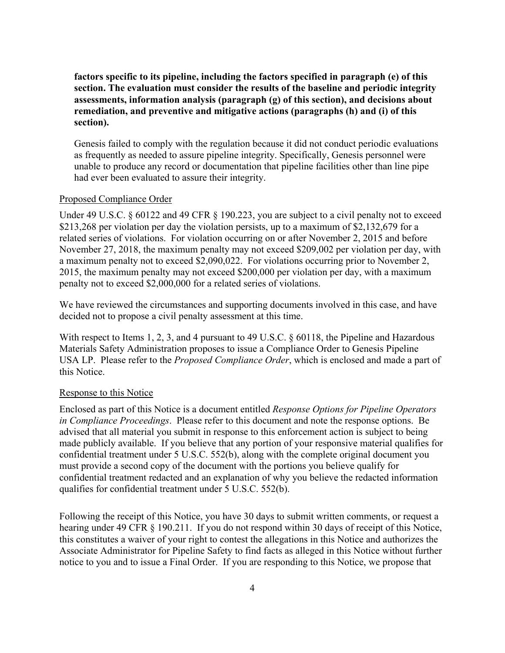**factors specific to its pipeline, including the factors specified in paragraph (e) of this section. The evaluation must consider the results of the baseline and periodic integrity assessments, information analysis (paragraph (g) of this section), and decisions about remediation, and preventive and mitigative actions (paragraphs (h) and (i) of this section).**

Genesis failed to comply with the regulation because it did not conduct periodic evaluations as frequently as needed to assure pipeline integrity. Specifically, Genesis personnel were unable to produce any record or documentation that pipeline facilities other than line pipe had ever been evaluated to assure their integrity.

#### Proposed Compliance Order

Under 49 U.S.C. § 60122 and 49 CFR § 190.223, you are subject to a civil penalty not to exceed \$213,268 per violation per day the violation persists, up to a maximum of \$2,132,679 for a related series of violations. For violation occurring on or after November 2, 2015 and before November 27, 2018, the maximum penalty may not exceed \$209,002 per violation per day, with a maximum penalty not to exceed \$2,090,022. For violations occurring prior to November 2, 2015, the maximum penalty may not exceed \$200,000 per violation per day, with a maximum penalty not to exceed \$2,000,000 for a related series of violations.

 decided not to propose a civil penalty assessment at this time. We have reviewed the circumstances and supporting documents involved in this case, and have

With respect to Items 1, 2, 3, and 4 pursuant to 49 U.S.C. § 60118, the Pipeline and Hazardous Materials Safety Administration proposes to issue a Compliance Order to Genesis Pipeline USA LP. Please refer to the *Proposed Compliance Order*, which is enclosed and made a part of this Notice.

#### Response to this Notice

Enclosed as part of this Notice is a document entitled *Response Options for Pipeline Operators in Compliance Proceedings*. Please refer to this document and note the response options. Be advised that all material you submit in response to this enforcement action is subject to being made publicly available. If you believe that any portion of your responsive material qualifies for confidential treatment under 5 U.S.C. 552(b), along with the complete original document you must provide a second copy of the document with the portions you believe qualify for confidential treatment redacted and an explanation of why you believe the redacted information qualifies for confidential treatment under 5 U.S.C. 552(b).

Following the receipt of this Notice, you have 30 days to submit written comments, or request a hearing under 49 CFR § 190.211. If you do not respond within 30 days of receipt of this Notice, this constitutes a waiver of your right to contest the allegations in this Notice and authorizes the Associate Administrator for Pipeline Safety to find facts as alleged in this Notice without further notice to you and to issue a Final Order. If you are responding to this Notice, we propose that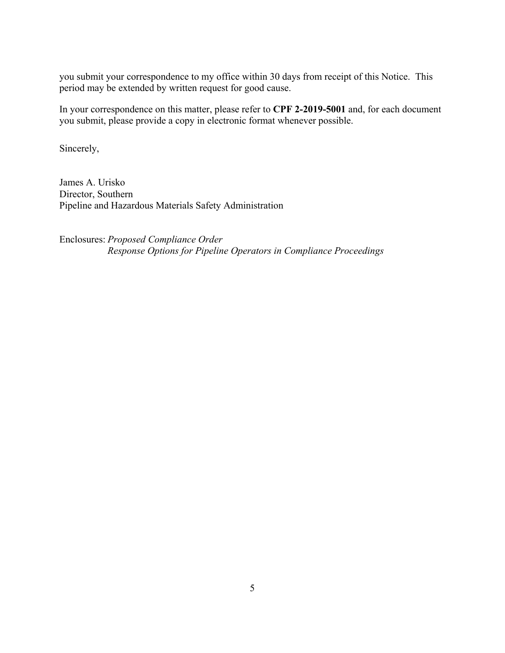you submit your correspondence to my office within 30 days from receipt of this Notice. This period may be extended by written request for good cause.

In your correspondence on this matter, please refer to **CPF 2-2019-5001** and, for each document you submit, please provide a copy in electronic format whenever possible.

Sincerely,

James A. Urisko Director, Southern Pipeline and Hazardous Materials Safety Administration

Enclosures: *Proposed Compliance Order Response Options for Pipeline Operators in Compliance Proceedings*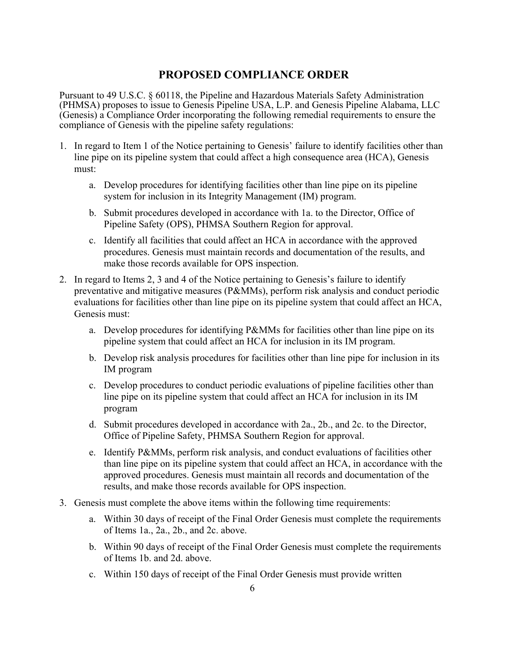## **PROPOSED COMPLIANCE ORDER**

Pursuant to 49 U.S.C. § 60118, the Pipeline and Hazardous Materials Safety Administration (PHMSA) proposes to issue to Genesis Pipeline USA, L.P. and Genesis Pipeline Alabama, LLC (Genesis) a Compliance Order incorporating the following remedial requirements to ensure the compliance of Genesis with the pipeline safety regulations:

- 1. In regard to Item 1 of the Notice pertaining to Genesis' failure to identify facilities other than line pipe on its pipeline system that could affect a high consequence area (HCA), Genesis must:
	- a. Develop procedures for identifying facilities other than line pipe on its pipeline system for inclusion in its Integrity Management (IM) program.
	- b. Submit procedures developed in accordance with 1a. to the Director, Office of Pipeline Safety (OPS), PHMSA Southern Region for approval.
	- c. Identify all facilities that could affect an HCA in accordance with the approved procedures. Genesis must maintain records and documentation of the results, and make those records available for OPS inspection.
- 2. In regard to Items 2, 3 and 4 of the Notice pertaining to Genesis's failure to identify preventative and mitigative measures (P&MMs), perform risk analysis and conduct periodic evaluations for facilities other than line pipe on its pipeline system that could affect an HCA, Genesis must:
	- a. Develop procedures for identifying P&MMs for facilities other than line pipe on its pipeline system that could affect an HCA for inclusion in its IM program.
	- b. Develop risk analysis procedures for facilities other than line pipe for inclusion in its IM program
	- c. Develop procedures to conduct periodic evaluations of pipeline facilities other than line pipe on its pipeline system that could affect an HCA for inclusion in its IM program
	- d. Submit procedures developed in accordance with 2a., 2b., and 2c. to the Director, Office of Pipeline Safety, PHMSA Southern Region for approval.
	- e. Identify P&MMs, perform risk analysis, and conduct evaluations of facilities other than line pipe on its pipeline system that could affect an HCA, in accordance with the approved procedures. Genesis must maintain all records and documentation of the results, and make those records available for OPS inspection.
- 3. Genesis must complete the above items within the following time requirements:
	- a. Within 30 days of receipt of the Final Order Genesis must complete the requirements of Items 1a., 2a., 2b., and 2c. above.
	- b. Within 90 days of receipt of the Final Order Genesis must complete the requirements of Items 1b. and 2d. above.
	- c. Within 150 days of receipt of the Final Order Genesis must provide written